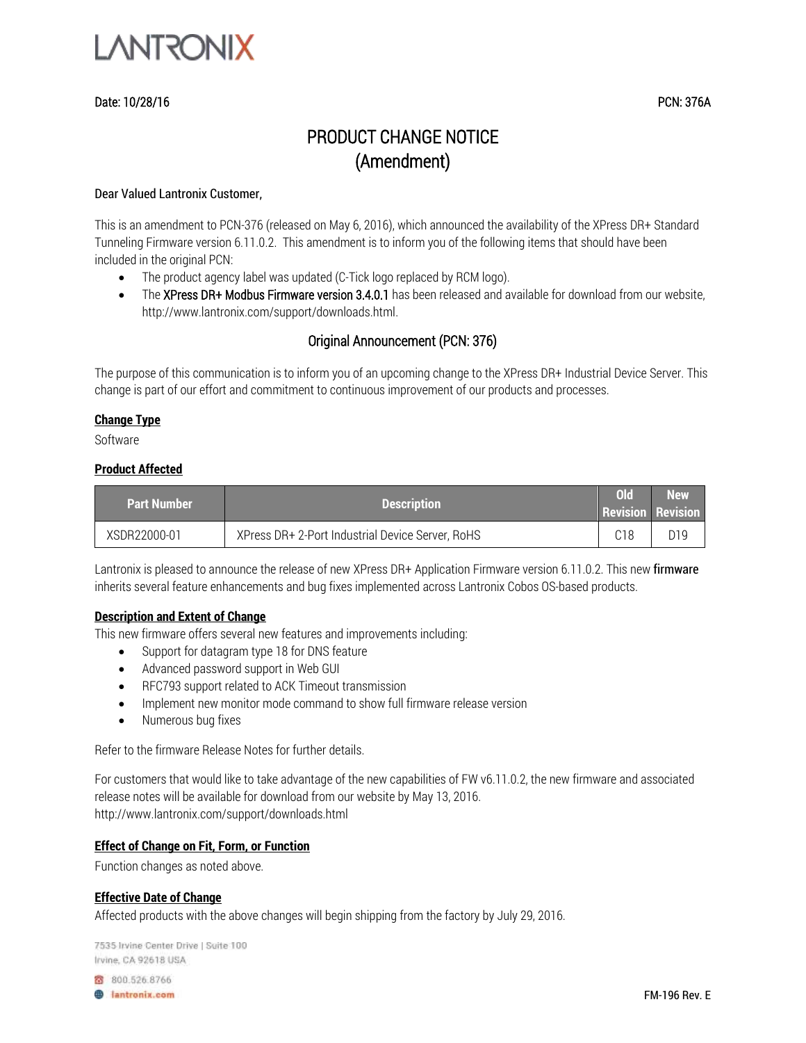

### Date: 10/28/16 PCN: 376A

# PRODUCT CHANGE NOTICE (Amendment)

#### Dear Valued Lantronix Customer,

This is an amendment to PCN-376 (released on May 6, 2016), which announced the availability of the XPress DR+ Standard Tunneling Firmware version 6.11.0.2. This amendment is to inform you of the following items that should have been included in the original PCN:

- The product agency label was updated (C-Tick logo replaced by RCM logo).
- The XPress DR+ Modbus Firmware version 3.4.0.1 has been released and available for download from our website, [http://www.lantronix.com/support/downloads.html.](http://www.lantronix.com/support/downloads.html)

## Original Announcement (PCN: 376)

The purpose of this communication is to inform you of an upcoming change to the XPress DR+ Industrial Device Server. This change is part of our effort and commitment to continuous improvement of our products and processes.

#### **Change Type**

Software

#### **Product Affected**

| <b>Part Number</b> | <b>Description</b>                               | 0   | <b>New</b><br><b>Revision Revision</b> |
|--------------------|--------------------------------------------------|-----|----------------------------------------|
| XSDR22000-01       | XPress DR+ 2-Port Industrial Device Server, RoHS | C18 | D19                                    |

Lantronix is pleased to announce the release of new XPress DR+ Application Firmware version 6.11.0.2. This new firmware inherits several feature enhancements and bug fixes implemented across Lantronix Cobos OS-based products.

#### **Description and Extent of Change**

This new firmware offers several new features and improvements including:

- Support for datagram type 18 for DNS feature
- Advanced password support in Web GUI
- RFC793 support related to ACK Timeout transmission
- Implement new monitor mode command to show full firmware release version
- Numerous bug fixes

Refer to the firmware Release Notes for further details.

For customers that would like to take advantage of the new capabilities of FW v6.11.0.2, the new firmware and associated release notes will be available for download from our website by May 13, 2016. <http://www.lantronix.com/support/downloads.html>

#### **Effect of Change on Fit, Form, or Function**

Function changes as noted above.

#### **Effective Date of Change**

Affected products with the above changes will begin shipping from the factory by July 29, 2016.

7535 Irvine Center Drive | Suite 100 Irvine, CA 92618 USA

8 800.526.8766

**B** lantronix.com